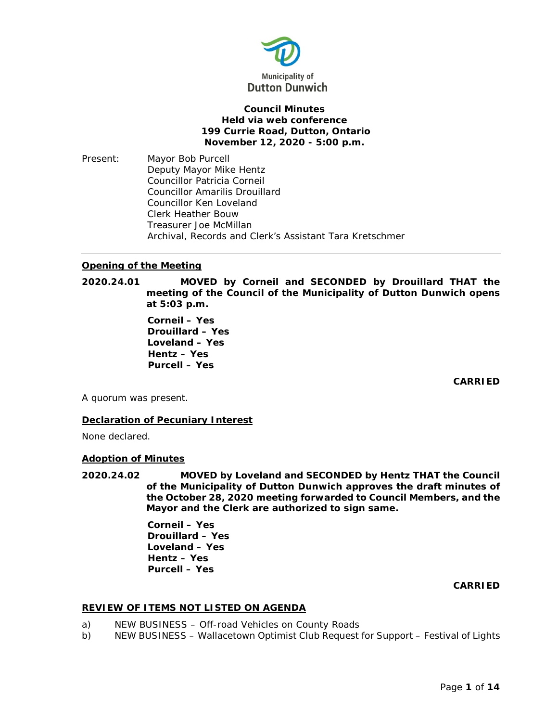

# **Council Minutes Held via web conference 199 Currie Road, Dutton, Ontario November 12, 2020 - 5:00 p.m.**

Present: Mayor Bob Purcell Deputy Mayor Mike Hentz Councillor Patricia Corneil Councillor Amarilis Drouillard Councillor Ken Loveland Clerk Heather Bouw Treasurer Joe McMillan Archival, Records and Clerk's Assistant Tara Kretschmer

# **Opening of the Meeting**

**2020.24.01 MOVED by Corneil and SECONDED by Drouillard THAT the meeting of the Council of the Municipality of Dutton Dunwich opens at 5:03 p.m.**

> **Corneil – Yes Drouillard – Yes Loveland – Yes Hentz – Yes Purcell – Yes**

> > **CARRIED**

A quorum was present.

## **Declaration of Pecuniary Interest**

None declared.

## **Adoption of Minutes**

**2020.24.02 MOVED by Loveland and SECONDED by Hentz THAT the Council of the Municipality of Dutton Dunwich approves the draft minutes of the October 28, 2020 meeting forwarded to Council Members, and the Mayor and the Clerk are authorized to sign same.**

> **Corneil – Yes Drouillard – Yes Loveland – Yes Hentz – Yes Purcell – Yes**

# **CARRIED**

## **REVIEW OF ITEMS NOT LISTED ON AGENDA**

- a) NEW BUSINESS Off-road Vehicles on County Roads
- b) NEW BUSINESS Wallacetown Optimist Club Request for Support Festival of Lights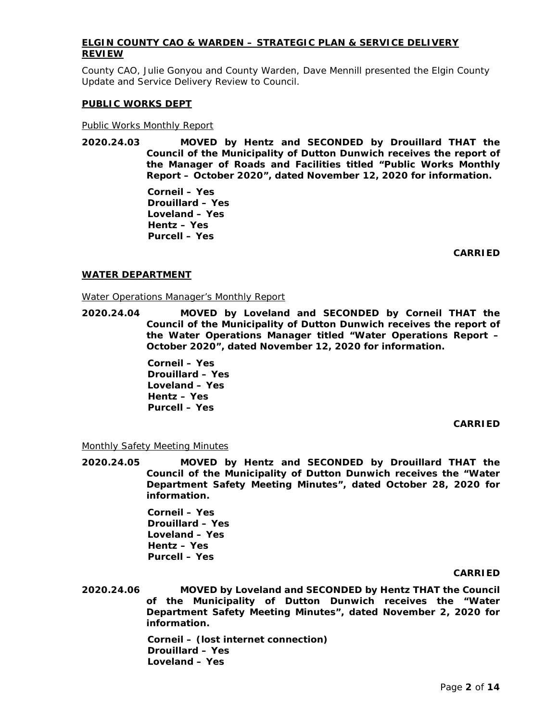# **ELGIN COUNTY CAO & WARDEN – STRATEGIC PLAN & SERVICE DELIVERY REVIEW**

County CAO, Julie Gonyou and County Warden, Dave Mennill presented the Elgin County Update and Service Delivery Review to Council.

### **PUBLIC WORKS DEPT**

### Public Works Monthly Report

**2020.24.03 MOVED by Hentz and SECONDED by Drouillard THAT the Council of the Municipality of Dutton Dunwich receives the report of the Manager of Roads and Facilities titled "Public Works Monthly Report – October 2020", dated November 12, 2020 for information.**

> **Corneil – Yes Drouillard – Yes Loveland – Yes Hentz – Yes Purcell – Yes**

> > **CARRIED**

### **WATER DEPARTMENT**

### Water Operations Manager's Monthly Report

**2020.24.04 MOVED by Loveland and SECONDED by Corneil THAT the Council of the Municipality of Dutton Dunwich receives the report of the Water Operations Manager titled "Water Operations Report – October 2020", dated November 12, 2020 for information.**

> **Corneil – Yes Drouillard – Yes Loveland – Yes Hentz – Yes Purcell – Yes**

## **CARRIED**

## Monthly Safety Meeting Minutes

**2020.24.05 MOVED by Hentz and SECONDED by Drouillard THAT the Council of the Municipality of Dutton Dunwich receives the "Water Department Safety Meeting Minutes", dated October 28, 2020 for information.**

> **Corneil – Yes Drouillard – Yes Loveland – Yes Hentz – Yes Purcell – Yes**

#### **CARRIED**

**2020.24.06 MOVED by Loveland and SECONDED by Hentz THAT the Council of the Municipality of Dutton Dunwich receives the "Water Department Safety Meeting Minutes", dated November 2, 2020 for information.**

> **Corneil – (lost internet connection) Drouillard – Yes Loveland – Yes**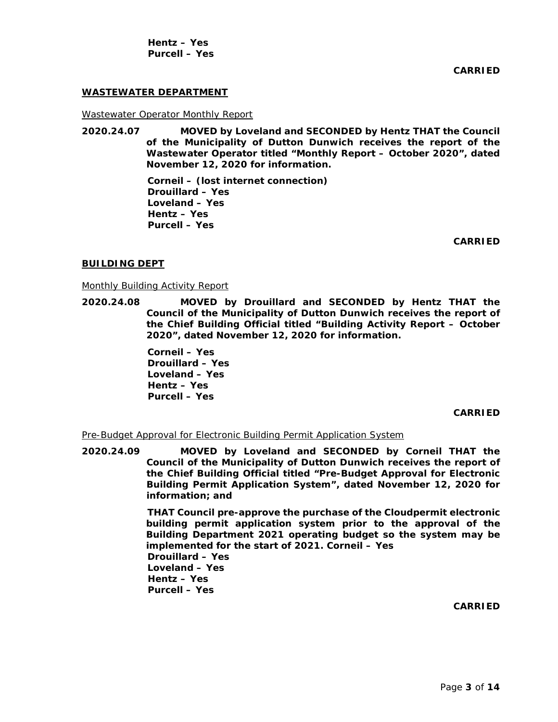**Hentz – Yes Purcell – Yes**

**CARRIED**

## **WASTEWATER DEPARTMENT**

Wastewater Operator Monthly Report

**2020.24.07 MOVED by Loveland and SECONDED by Hentz THAT the Council of the Municipality of Dutton Dunwich receives the report of the Wastewater Operator titled "Monthly Report – October 2020", dated November 12, 2020 for information.**

> **Corneil – (lost internet connection) Drouillard – Yes Loveland – Yes Hentz – Yes Purcell – Yes**

> > **CARRIED**

#### **BUILDING DEPT**

Monthly Building Activity Report

**2020.24.08 MOVED by Drouillard and SECONDED by Hentz THAT the Council of the Municipality of Dutton Dunwich receives the report of the Chief Building Official titled "Building Activity Report – October 2020", dated November 12, 2020 for information.**

> **Corneil – Yes Drouillard – Yes Loveland – Yes Hentz – Yes Purcell – Yes**

> > **CARRIED**

Pre-Budget Approval for Electronic Building Permit Application System

**2020.24.09 MOVED by Loveland and SECONDED by Corneil THAT the Council of the Municipality of Dutton Dunwich receives the report of the Chief Building Official titled "Pre-Budget Approval for Electronic Building Permit Application System", dated November 12, 2020 for information; and**

> **THAT Council pre-approve the purchase of the Cloudpermit electronic building permit application system prior to the approval of the Building Department 2021 operating budget so the system may be implemented for the start of 2021. Corneil – Yes Drouillard – Yes Loveland – Yes Hentz – Yes Purcell – Yes**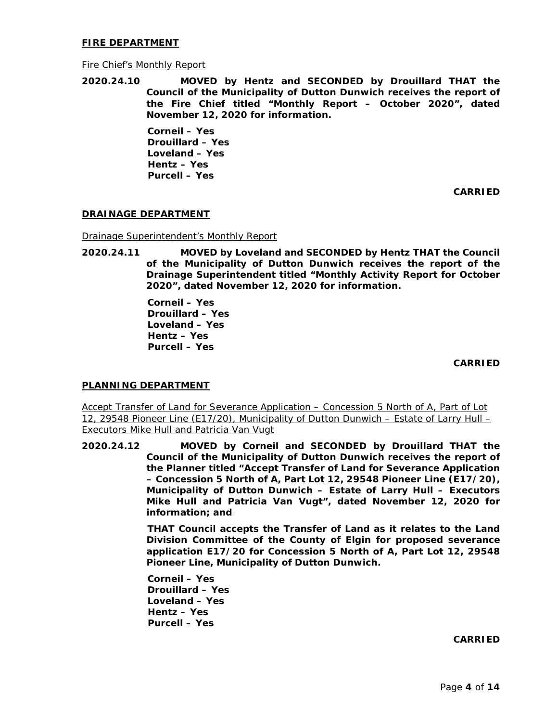## **FIRE DEPARTMENT**

## Fire Chief's Monthly Report

**2020.24.10 MOVED by Hentz and SECONDED by Drouillard THAT the Council of the Municipality of Dutton Dunwich receives the report of the Fire Chief titled "Monthly Report – October 2020", dated November 12, 2020 for information.**

> **Corneil – Yes Drouillard – Yes Loveland – Yes Hentz – Yes Purcell – Yes**

> > **CARRIED**

## **DRAINAGE DEPARTMENT**

Drainage Superintendent's Monthly Report

**2020.24.11 MOVED by Loveland and SECONDED by Hentz THAT the Council of the Municipality of Dutton Dunwich receives the report of the Drainage Superintendent titled "Monthly Activity Report for October 2020", dated November 12, 2020 for information.**

> **Corneil – Yes Drouillard – Yes Loveland – Yes Hentz – Yes Purcell – Yes**

> > **CARRIED**

## **PLANNING DEPARTMENT**

Accept Transfer of Land for Severance Application – Concession 5 North of A, Part of Lot 12, 29548 Pioneer Line (E17/20), Municipality of Dutton Dunwich – Estate of Larry Hull – Executors Mike Hull and Patricia Van Vugt

**2020.24.12 MOVED by Corneil and SECONDED by Drouillard THAT the Council of the Municipality of Dutton Dunwich receives the report of the Planner titled "Accept Transfer of Land for Severance Application – Concession 5 North of A, Part Lot 12, 29548 Pioneer Line (E17/20), Municipality of Dutton Dunwich – Estate of Larry Hull – Executors Mike Hull and Patricia Van Vugt", dated November 12, 2020 for information; and**

> **THAT Council accepts the Transfer of Land as it relates to the Land Division Committee of the County of Elgin for proposed severance application E17/20 for Concession 5 North of A, Part Lot 12, 29548 Pioneer Line, Municipality of Dutton Dunwich.**

**Corneil – Yes Drouillard – Yes Loveland – Yes Hentz – Yes Purcell – Yes**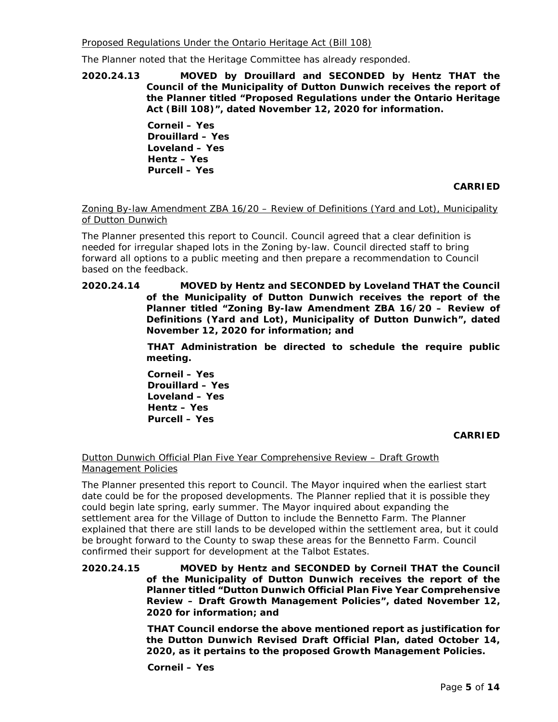Proposed Regulations Under the Ontario Heritage Act (Bill 108)

The Planner noted that the Heritage Committee has already responded.

**2020.24.13 MOVED by Drouillard and SECONDED by Hentz THAT the Council of the Municipality of Dutton Dunwich receives the report of the Planner titled "Proposed Regulations under the Ontario Heritage Act (Bill 108)", dated November 12, 2020 for information.**

> **Corneil – Yes Drouillard – Yes Loveland – Yes Hentz – Yes Purcell – Yes**

> > **CARRIED**

# Zoning By-law Amendment ZBA 16/20 – Review of Definitions (Yard and Lot), Municipality of Dutton Dunwich

The Planner presented this report to Council. Council agreed that a clear definition is needed for irregular shaped lots in the Zoning by-law. Council directed staff to bring forward all options to a public meeting and then prepare a recommendation to Council based on the feedback.

**2020.24.14 MOVED by Hentz and SECONDED by Loveland THAT the Council of the Municipality of Dutton Dunwich receives the report of the Planner titled "Zoning By-law Amendment ZBA 16/20 – Review of Definitions (Yard and Lot), Municipality of Dutton Dunwich", dated November 12, 2020 for information; and**

> **THAT Administration be directed to schedule the require public meeting.**

**Corneil – Yes Drouillard – Yes Loveland – Yes Hentz – Yes Purcell – Yes**

**CARRIED**

# Dutton Dunwich Official Plan Five Year Comprehensive Review – Draft Growth Management Policies

The Planner presented this report to Council. The Mayor inquired when the earliest start date could be for the proposed developments. The Planner replied that it is possible they could begin late spring, early summer. The Mayor inquired about expanding the settlement area for the Village of Dutton to include the Bennetto Farm. The Planner explained that there are still lands to be developed within the settlement area, but it could be brought forward to the County to swap these areas for the Bennetto Farm. Council confirmed their support for development at the Talbot Estates.

**2020.24.15 MOVED by Hentz and SECONDED by Corneil THAT the Council of the Municipality of Dutton Dunwich receives the report of the Planner titled "Dutton Dunwich Official Plan Five Year Comprehensive Review – Draft Growth Management Policies", dated November 12, 2020 for information; and**

> **THAT Council endorse the above mentioned report as justification for the Dutton Dunwich Revised Draft Official Plan, dated October 14, 2020, as it pertains to the proposed Growth Management Policies.**

**Corneil – Yes**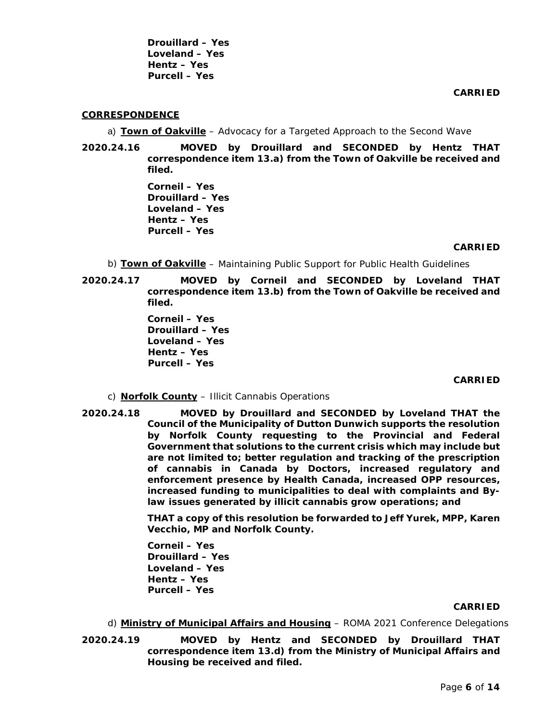**Drouillard – Yes Loveland – Yes Hentz – Yes Purcell – Yes**

**CARRIED**

### **CORRESPONDENCE**

a) **Town of Oakville** – Advocacy for a Targeted Approach to the Second Wave

**2020.24.16 MOVED by Drouillard and SECONDED by Hentz THAT correspondence item 13.a) from the Town of Oakville be received and filed.**

> **Corneil – Yes Drouillard – Yes Loveland – Yes Hentz – Yes Purcell – Yes**

#### **CARRIED**

- b) **Town of Oakville** Maintaining Public Support for Public Health Guidelines
- **2020.24.17 MOVED by Corneil and SECONDED by Loveland THAT correspondence item 13.b) from the Town of Oakville be received and filed.**

**Corneil – Yes Drouillard – Yes Loveland – Yes Hentz – Yes Purcell – Yes**

#### **CARRIED**

- c) **Norfolk County** Illicit Cannabis Operations
- **2020.24.18 MOVED by Drouillard and SECONDED by Loveland THAT the Council of the Municipality of Dutton Dunwich supports the resolution by Norfolk County requesting to the Provincial and Federal Government that solutions to the current crisis which may include but are not limited to; better regulation and tracking of the prescription of cannabis in Canada by Doctors, increased regulatory and enforcement presence by Health Canada, increased OPP resources, increased funding to municipalities to deal with complaints and Bylaw issues generated by illicit cannabis grow operations; and**

**THAT a copy of this resolution be forwarded to Jeff Yurek, MPP, Karen Vecchio, MP and Norfolk County.**

**Corneil – Yes Drouillard – Yes Loveland – Yes Hentz – Yes Purcell – Yes**

- d) **Ministry of Municipal Affairs and Housing** ROMA 2021 Conference Delegations
- **2020.24.19 MOVED by Hentz and SECONDED by Drouillard THAT correspondence item 13.d) from the Ministry of Municipal Affairs and Housing be received and filed.**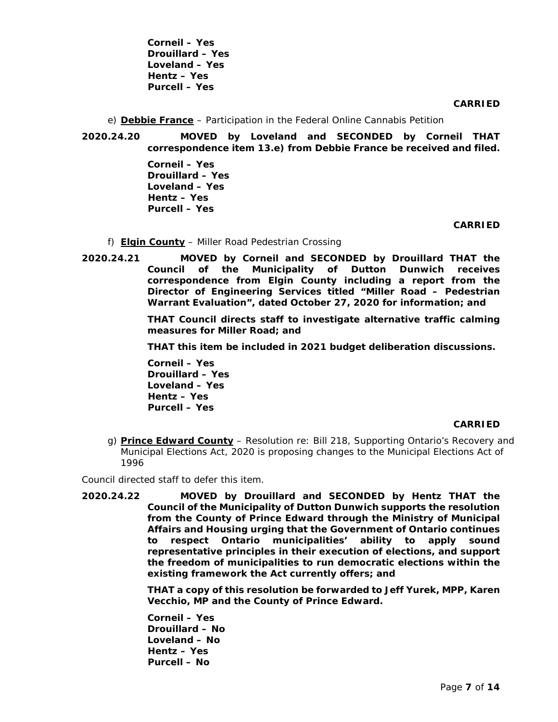**Corneil – Yes Drouillard – Yes Loveland – Yes Hentz – Yes Purcell – Yes**

### **CARRIED**

e) **Debbie France** – Participation in the Federal Online Cannabis Petition

**2020.24.20 MOVED by Loveland and SECONDED by Corneil THAT correspondence item 13.e) from Debbie France be received and filed.**

> **Corneil – Yes Drouillard – Yes Loveland – Yes Hentz – Yes Purcell – Yes**

> > **CARRIED**

- f) **Elgin County** Miller Road Pedestrian Crossing
- **2020.24.21 MOVED by Corneil and SECONDED by Drouillard THAT the Council of the Municipality of Dutton Dunwich receives correspondence from Elgin County including a report from the Director of Engineering Services titled "Miller Road – Pedestrian Warrant Evaluation", dated October 27, 2020 for information; and**

**THAT Council directs staff to investigate alternative traffic calming measures for Miller Road; and**

**THAT this item be included in 2021 budget deliberation discussions.**

**Corneil – Yes Drouillard – Yes Loveland – Yes Hentz – Yes Purcell – Yes**

#### **CARRIED**

g) **Prince Edward County** – Resolution re: Bill 218, Supporting Ontario's Recovery and Municipal Elections Act, 2020 is proposing changes to the Municipal Elections Act of 1996

Council directed staff to defer this item.

**2020.24.22 MOVED by Drouillard and SECONDED by Hentz THAT the Council of the Municipality of Dutton Dunwich supports the resolution from the County of Prince Edward through the Ministry of Municipal Affairs and Housing urging that the Government of Ontario continues to respect Ontario municipalities' ability to apply sound representative principles in their execution of elections, and support the freedom of municipalities to run democratic elections within the existing framework the Act currently offers; and**

> **THAT a copy of this resolution be forwarded to Jeff Yurek, MPP, Karen Vecchio, MP and the County of Prince Edward.**

**Corneil – Yes Drouillard – No Loveland – No Hentz – Yes Purcell – No**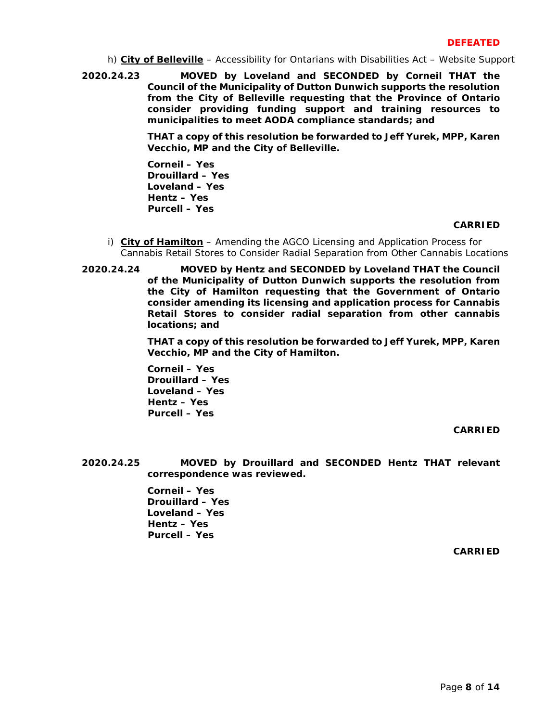h) **City of Belleville** – Accessibility for Ontarians with Disabilities Act – Website Support

**2020.24.23 MOVED by Loveland and SECONDED by Corneil THAT the Council of the Municipality of Dutton Dunwich supports the resolution from the City of Belleville requesting that the Province of Ontario consider providing funding support and training resources to municipalities to meet AODA compliance standards; and**

> **THAT a copy of this resolution be forwarded to Jeff Yurek, MPP, Karen Vecchio, MP and the City of Belleville.**

**Corneil – Yes Drouillard – Yes Loveland – Yes Hentz – Yes Purcell – Yes**

## **CARRIED**

- i) **City of Hamilton** Amending the AGCO Licensing and Application Process for Cannabis Retail Stores to Consider Radial Separation from Other Cannabis Locations
- **2020.24.24 MOVED by Hentz and SECONDED by Loveland THAT the Council of the Municipality of Dutton Dunwich supports the resolution from the City of Hamilton requesting that the Government of Ontario consider amending its licensing and application process for Cannabis Retail Stores to consider radial separation from other cannabis locations; and**

**THAT a copy of this resolution be forwarded to Jeff Yurek, MPP, Karen Vecchio, MP and the City of Hamilton.** 

**Corneil – Yes Drouillard – Yes Loveland – Yes Hentz – Yes Purcell – Yes**

**CARRIED**

**2020.24.25 MOVED by Drouillard and SECONDED Hentz THAT relevant correspondence was reviewed.**

> **Corneil – Yes Drouillard – Yes Loveland – Yes Hentz – Yes Purcell – Yes**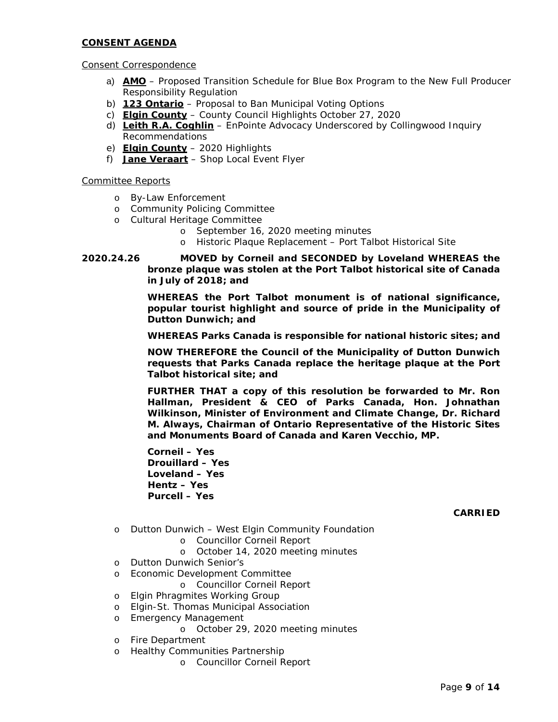## **CONSENT AGENDA**

# Consent Correspondence

- a) **AMO** Proposed Transition Schedule for Blue Box Program to the New Full Producer Responsibility Regulation
- b) **123 Ontario** Proposal to Ban Municipal Voting Options
- c) **Elgin County** County Council Highlights October 27, 2020
- d) **Leith R.A. Coghlin** EnPointe Advocacy Underscored by Collingwood Inquiry Recommendations
- e) **Elgin County** 2020 Highlights
- f) **Jane Veraart** Shop Local Event Flyer

# Committee Reports

- o By-Law Enforcement
- o Community Policing Committee
- o Cultural Heritage Committee
	- o September 16, 2020 meeting minutes
	- o Historic Plaque Replacement Port Talbot Historical Site
- **2020.24.26 MOVED by Corneil and SECONDED by Loveland WHEREAS the bronze plaque was stolen at the Port Talbot historical site of Canada in July of 2018; and**

**WHEREAS the Port Talbot monument is of national significance, popular tourist highlight and source of pride in the Municipality of Dutton Dunwich; and**

**WHEREAS Parks Canada is responsible for national historic sites; and**

**NOW THEREFORE the Council of the Municipality of Dutton Dunwich requests that Parks Canada replace the heritage plaque at the Port Talbot historical site; and**

**FURTHER THAT a copy of this resolution be forwarded to Mr. Ron Hallman, President & CEO of Parks Canada, Hon. Johnathan Wilkinson, Minister of Environment and Climate Change, Dr. Richard M. Always, Chairman of Ontario Representative of the Historic Sites and Monuments Board of Canada and Karen Vecchio, MP.**

**Corneil – Yes Drouillard – Yes Loveland – Yes Hentz – Yes Purcell – Yes**

- o Dutton Dunwich West Elgin Community Foundation
	- o Councillor Corneil Report
	- o October 14, 2020 meeting minutes
- o Dutton Dunwich Senior's
- o Economic Development Committee
	- o Councillor Corneil Report
- o Elgin Phragmites Working Group
- o Elgin-St. Thomas Municipal Association
- o Emergency Management
	- o October 29, 2020 meeting minutes
- o Fire Department
- o Healthy Communities Partnership
	- o Councillor Corneil Report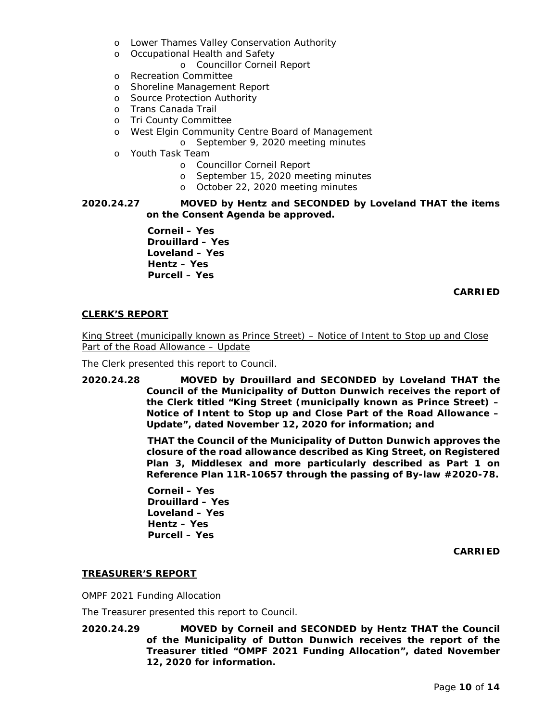- o Lower Thames Valley Conservation Authority
- o Occupational Health and Safety
	- o Councillor Corneil Report
- o Recreation Committee
- o Shoreline Management Report
- o Source Protection Authority
- o Trans Canada Trail
- o Tri County Committee
- o West Elgin Community Centre Board of Management
	- o September 9, 2020 meeting minutes
- o Youth Task Team
	- o Councillor Corneil Report
	- o September 15, 2020 meeting minutes
	- o October 22, 2020 meeting minutes

# **2020.24.27 MOVED by Hentz and SECONDED by Loveland THAT the items on the Consent Agenda be approved.**

**Corneil – Yes Drouillard – Yes Loveland – Yes Hentz – Yes Purcell – Yes**

# **CARRIED**

# **CLERK'S REPORT**

King Street (municipally known as Prince Street) – Notice of Intent to Stop up and Close Part of the Road Allowance – Update

The Clerk presented this report to Council.

**2020.24.28 MOVED by Drouillard and SECONDED by Loveland THAT the Council of the Municipality of Dutton Dunwich receives the report of the Clerk titled "King Street (municipally known as Prince Street) – Notice of Intent to Stop up and Close Part of the Road Allowance – Update", dated November 12, 2020 for information; and**

> **THAT the Council of the Municipality of Dutton Dunwich approves the closure of the road allowance described as King Street, on Registered Plan 3, Middlesex and more particularly described as Part 1 on Reference Plan 11R-10657 through the passing of By-law #2020-78.**

**Corneil – Yes Drouillard – Yes Loveland – Yes Hentz – Yes Purcell – Yes**

**CARRIED**

# **TREASURER'S REPORT**

OMPF 2021 Funding Allocation

The Treasurer presented this report to Council.

**2020.24.29 MOVED by Corneil and SECONDED by Hentz THAT the Council of the Municipality of Dutton Dunwich receives the report of the Treasurer titled "OMPF 2021 Funding Allocation", dated November 12, 2020 for information.**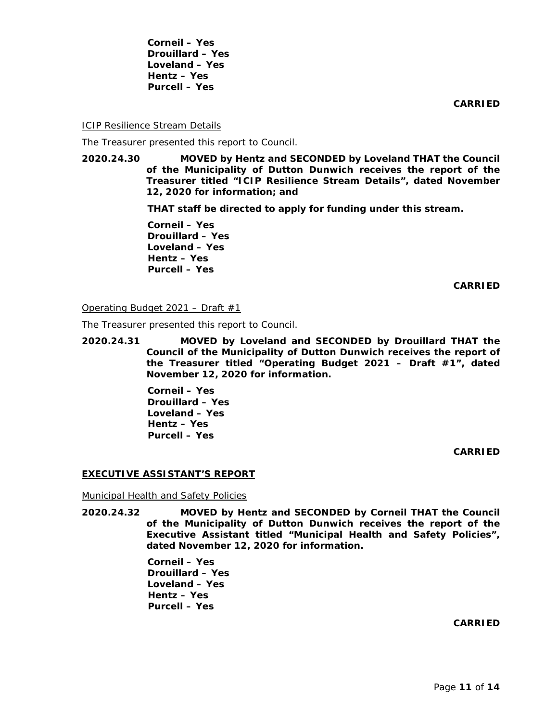**Corneil – Yes Drouillard – Yes Loveland – Yes Hentz – Yes Purcell – Yes**

**CARRIED**

**ICIP Resilience Stream Details** 

The Treasurer presented this report to Council.

**2020.24.30 MOVED by Hentz and SECONDED by Loveland THAT the Council of the Municipality of Dutton Dunwich receives the report of the Treasurer titled "ICIP Resilience Stream Details", dated November 12, 2020 for information; and**

**THAT staff be directed to apply for funding under this stream.**

**Corneil – Yes Drouillard – Yes Loveland – Yes Hentz – Yes Purcell – Yes**

**CARRIED**

Operating Budget 2021 – Draft  $#1$ 

The Treasurer presented this report to Council.

**2020.24.31 MOVED by Loveland and SECONDED by Drouillard THAT the Council of the Municipality of Dutton Dunwich receives the report of the Treasurer titled "Operating Budget 2021 – Draft #1", dated November 12, 2020 for information.**

> **Corneil – Yes Drouillard – Yes Loveland – Yes Hentz – Yes Purcell – Yes**

> > **CARRIED**

#### **EXECUTIVE ASSISTANT'S REPORT**

Municipal Health and Safety Policies

**2020.24.32 MOVED by Hentz and SECONDED by Corneil THAT the Council of the Municipality of Dutton Dunwich receives the report of the Executive Assistant titled "Municipal Health and Safety Policies", dated November 12, 2020 for information.**

> **Corneil – Yes Drouillard – Yes Loveland – Yes Hentz – Yes Purcell – Yes**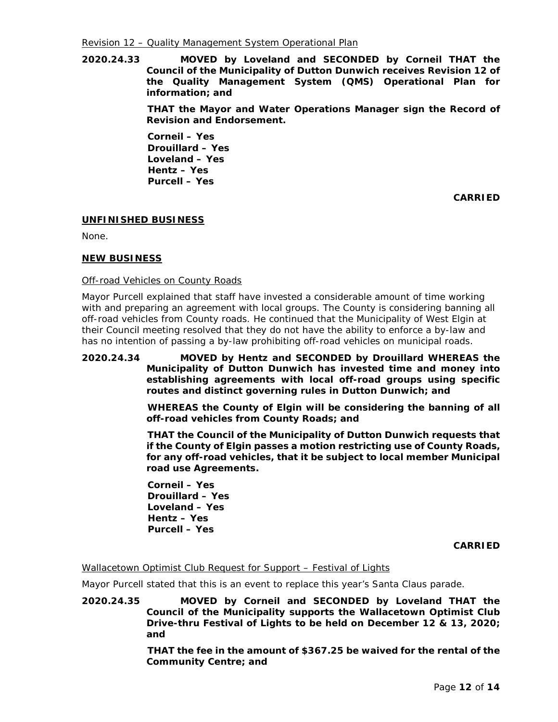**2020.24.33 MOVED by Loveland and SECONDED by Corneil THAT the Council of the Municipality of Dutton Dunwich receives Revision 12 of the Quality Management System (QMS) Operational Plan for information; and**

> **THAT the Mayor and Water Operations Manager sign the Record of Revision and Endorsement.**

**Corneil – Yes Drouillard – Yes Loveland – Yes Hentz – Yes Purcell – Yes**

**CARRIED**

# **UNFINISHED BUSINESS**

None.

# **NEW BUSINESS**

# Off-road Vehicles on County Roads

Mayor Purcell explained that staff have invested a considerable amount of time working with and preparing an agreement with local groups. The County is considering banning all off-road vehicles from County roads. He continued that the Municipality of West Elgin at their Council meeting resolved that they do not have the ability to enforce a by-law and has no intention of passing a by-law prohibiting off-road vehicles on municipal roads.

# **2020.24.34 MOVED by Hentz and SECONDED by Drouillard WHEREAS the Municipality of Dutton Dunwich has invested time and money into establishing agreements with local off-road groups using specific routes and distinct governing rules in Dutton Dunwich; and**

**WHEREAS the County of Elgin will be considering the banning of all off-road vehicles from County Roads; and**

**THAT the Council of the Municipality of Dutton Dunwich requests that if the County of Elgin passes a motion restricting use of County Roads, for any off-road vehicles, that it be subject to local member Municipal road use Agreements.**

**Corneil – Yes Drouillard – Yes Loveland – Yes Hentz – Yes Purcell – Yes**

**CARRIED**

## Wallacetown Optimist Club Request for Support – Festival of Lights

Mayor Purcell stated that this is an event to replace this year's Santa Claus parade.

**2020.24.35 MOVED by Corneil and SECONDED by Loveland THAT the Council of the Municipality supports the Wallacetown Optimist Club Drive-thru Festival of Lights to be held on December 12 & 13, 2020; and**

> **THAT the fee in the amount of \$367.25 be waived for the rental of the Community Centre; and**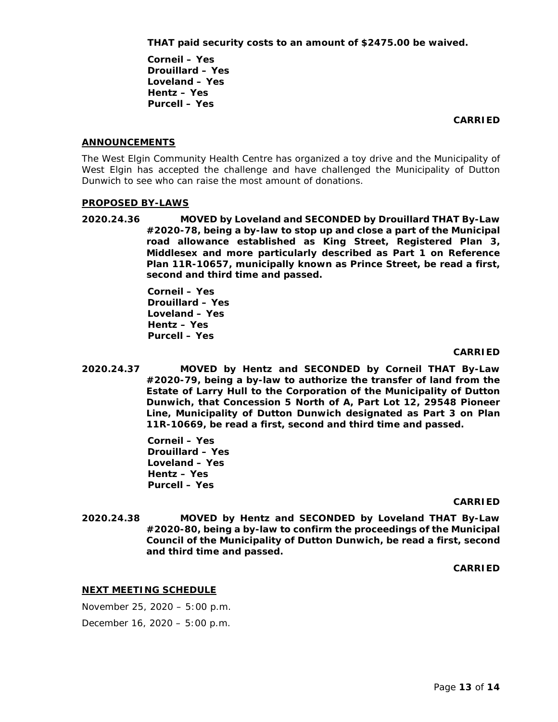# **THAT paid security costs to an amount of \$2475.00 be waived.**

**Corneil – Yes Drouillard – Yes Loveland – Yes Hentz – Yes Purcell – Yes**

### **CARRIED**

## **ANNOUNCEMENTS**

The West Elgin Community Health Centre has organized a toy drive and the Municipality of West Elgin has accepted the challenge and have challenged the Municipality of Dutton Dunwich to see who can raise the most amount of donations.

## **PROPOSED BY-LAWS**

**2020.24.36 MOVED by Loveland and SECONDED by Drouillard THAT By-Law #2020-78, being a by-law to stop up and close a part of the Municipal road allowance established as King Street, Registered Plan 3, Middlesex and more particularly described as Part 1 on Reference Plan 11R-10657, municipally known as Prince Street, be read a first, second and third time and passed.**

> **Corneil – Yes Drouillard – Yes Loveland – Yes Hentz – Yes Purcell – Yes**

### **CARRIED**

**2020.24.37 MOVED by Hentz and SECONDED by Corneil THAT By-Law #2020-79, being a by-law to authorize the transfer of land from the Estate of Larry Hull to the Corporation of the Municipality of Dutton Dunwich, that Concession 5 North of A, Part Lot 12, 29548 Pioneer Line, Municipality of Dutton Dunwich designated as Part 3 on Plan 11R-10669, be read a first, second and third time and passed.**

> **Corneil – Yes Drouillard – Yes Loveland – Yes Hentz – Yes Purcell – Yes**

#### **CARRIED**

**2020.24.38 MOVED by Hentz and SECONDED by Loveland THAT By-Law #2020-80, being a by-law to confirm the proceedings of the Municipal Council of the Municipality of Dutton Dunwich, be read a first, second and third time and passed.**

**CARRIED**

## **NEXT MEETING SCHEDULE**

November 25, 2020 – 5:00 p.m.

December 16, 2020 – 5:00 p.m.